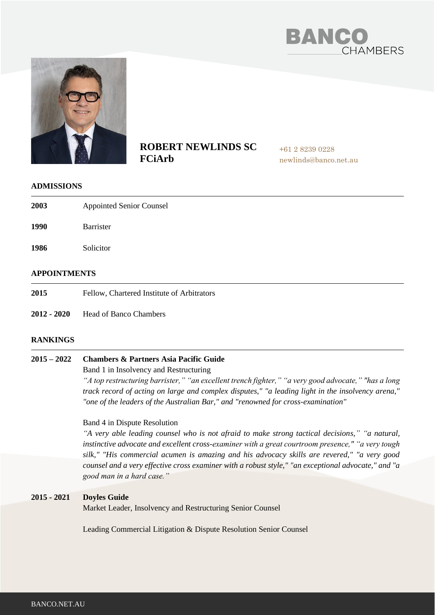



# **ROBERT NEWLINDS SC FCiArb**

+61 2 8239 0228 newlinds@banco.net.au

#### **ADMISSIONS**

| 2003                | <b>Appointed Senior Counsel</b> |
|---------------------|---------------------------------|
| 1990                | Barrister                       |
| 1986                | Solicitor                       |
| <b>APPOINTMENTS</b> |                                 |

- **2015** Fellow, Chartered Institute of Arbitrators
- **2012 - 2020** Head of Banco Chambers

### **RANKINGS**

#### **2015 – 2022 Chambers & Partners Asia Pacific Guide**

Band 1 in Insolvency and Restructuring

*"A top restructuring barrister," "an excellent trench fighter," "a very good advocate," "has a long track record of acting on large and complex disputes," "a leading light in the insolvency arena," "one of the leaders of the Australian Bar," and "renowned for cross-examination"*

#### Band 4 in Dispute Resolution

*"A very able leading counsel who is not afraid to make strong tactical decisions," "a natural, instinctive advocate and excellent cross-examiner with a great courtroom presence," "a very tough silk," "His commercial acumen is amazing and his advocacy skills are revered," "a very good counsel and a very effective cross examiner with a robust style," "an exceptional advocate," and "a good man in a hard case."*

#### **2015 - 2021 Doyles Guide**

Market Leader, Insolvency and Restructuring Senior Counsel

Leading Commercial Litigation & Dispute Resolution Senior Counsel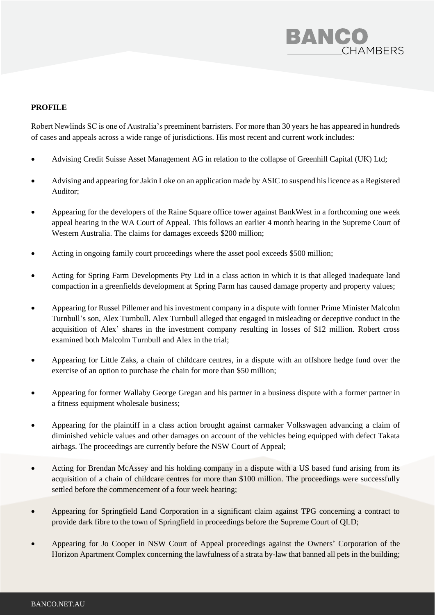

## **PROFILE**

Robert Newlinds SC is one of Australia's preeminent barristers. For more than 30 years he has appeared in hundreds of cases and appeals across a wide range of jurisdictions. His most recent and current work includes:

- Advising Credit Suisse Asset Management AG in relation to the collapse of Greenhill Capital (UK) Ltd;
- Advising and appearing forJakin Loke on an application made by ASIC to suspend his licence as a Registered Auditor;
- Appearing for the developers of the Raine Square office tower against BankWest in a forthcoming one week appeal hearing in the WA Court of Appeal. This follows an earlier 4 month hearing in the Supreme Court of Western Australia. The claims for damages exceeds \$200 million;
- Acting in ongoing family court proceedings where the asset pool exceeds \$500 million;
- Acting for Spring Farm Developments Pty Ltd in a class action in which it is that alleged inadequate land compaction in a greenfields development at Spring Farm has caused damage property and property values;
- Appearing for Russel Pillemer and his investment company in a dispute with former Prime Minister Malcolm Turnbull's son, Alex Turnbull. Alex Turnbull alleged that engaged in misleading or deceptive conduct in the acquisition of Alex' shares in the investment company resulting in losses of \$12 million. Robert cross examined both Malcolm Turnbull and Alex in the trial;
- Appearing for Little Zaks, a chain of childcare centres, in a dispute with an offshore hedge fund over the exercise of an option to purchase the chain for more than \$50 million;
- Appearing for former Wallaby George Gregan and his partner in a business dispute with a former partner in a fitness equipment wholesale business;
- Appearing for the plaintiff in a class action brought against carmaker Volkswagen advancing a claim of diminished vehicle values and other damages on account of the vehicles being equipped with defect Takata airbags. The proceedings are currently before the NSW Court of Appeal;
- Acting for Brendan McAssey and his holding company in a dispute with a US based fund arising from its acquisition of a chain of childcare centres for more than \$100 million. The proceedings were successfully settled before the commencement of a four week hearing;
- Appearing for Springfield Land Corporation in a significant claim against TPG concerning a contract to provide dark fibre to the town of Springfield in proceedings before the Supreme Court of QLD;
- Appearing for Jo Cooper in NSW Court of Appeal proceedings against the Owners' Corporation of the Horizon Apartment Complex concerning the lawfulness of a strata by-law that banned all pets in the building;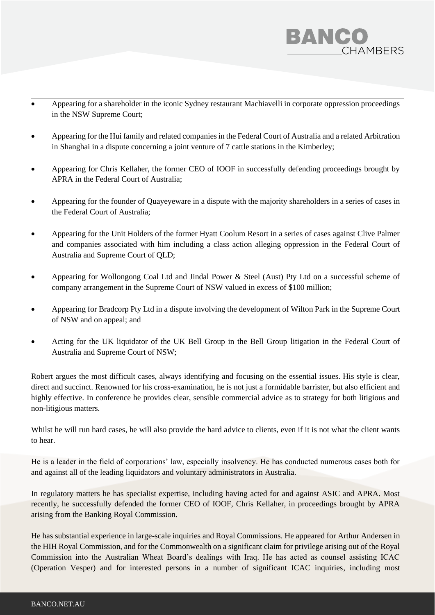

- Appearing for a shareholder in the iconic Sydney restaurant Machiavelli in corporate oppression proceedings in the NSW Supreme Court;
- Appearing for the Hui family and related companies in the Federal Court of Australia and a related Arbitration in Shanghai in a dispute concerning a joint venture of 7 cattle stations in the Kimberley;
- Appearing for Chris Kellaher, the former CEO of IOOF in successfully defending proceedings brought by APRA in the Federal Court of Australia;
- Appearing for the founder of Quayeyeware in a dispute with the majority shareholders in a series of cases in the Federal Court of Australia;
- Appearing for the Unit Holders of the former Hyatt Coolum Resort in a series of cases against Clive Palmer and companies associated with him including a class action alleging oppression in the Federal Court of Australia and Supreme Court of QLD;
- Appearing for Wollongong Coal Ltd and Jindal Power & Steel (Aust) Pty Ltd on a successful scheme of company arrangement in the Supreme Court of NSW valued in excess of \$100 million;
- Appearing for Bradcorp Pty Ltd in a dispute involving the development of Wilton Park in the Supreme Court of NSW and on appeal; and
- Acting for the UK liquidator of the UK Bell Group in the Bell Group litigation in the Federal Court of Australia and Supreme Court of NSW;

Robert argues the most difficult cases, always identifying and focusing on the essential issues. His style is clear, direct and succinct. Renowned for his cross-examination, he is not just a formidable barrister, but also efficient and highly effective. In conference he provides clear, sensible commercial advice as to strategy for both litigious and non-litigious matters.

Whilst he will run hard cases, he will also provide the hard advice to clients, even if it is not what the client wants to hear.

He is a leader in the field of corporations' law, especially insolvency. He has conducted numerous cases both for and against all of the leading liquidators and voluntary administrators in Australia.

In regulatory matters he has specialist expertise, including having acted for and against ASIC and APRA. Most recently, he successfully defended the former CEO of IOOF, Chris Kellaher, in proceedings brought by APRA arising from the Banking Royal Commission.

He has substantial experience in large-scale inquiries and Royal Commissions. He appeared for Arthur Andersen in the HIH Royal Commission, and for the Commonwealth on a significant claim for privilege arising out of the Royal Commission into the Australian Wheat Board's dealings with Iraq. He has acted as counsel assisting ICAC (Operation Vesper) and for interested persons in a number of significant ICAC inquiries, including most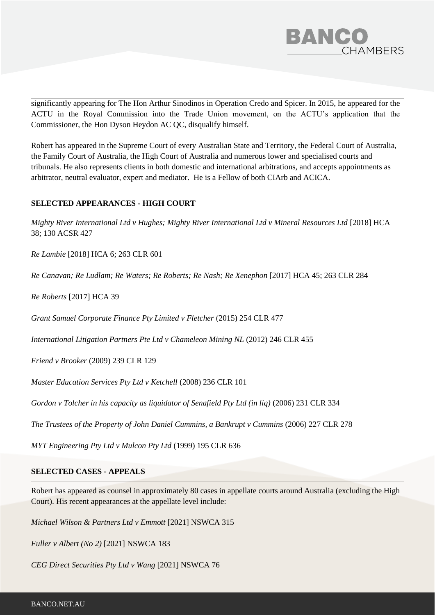

significantly appearing for The Hon Arthur Sinodinos in Operation Credo and Spicer. In 2015, he appeared for the ACTU in the Royal Commission into the Trade Union movement, on the ACTU's application that the Commissioner, the Hon Dyson Heydon AC QC, disqualify himself.

Robert has appeared in the Supreme Court of every Australian State and Territory, the Federal Court of Australia, the Family Court of Australia, the High Court of Australia and numerous lower and specialised courts and tribunals. He also represents clients in both domestic and international arbitrations, and accepts appointments as arbitrator, neutral evaluator, expert and mediator. He is a Fellow of both CIArb and ACICA.

## **SELECTED APPEARANCES - HIGH COURT**

*Mighty River International Ltd v Hughes; Mighty River International Ltd v Mineral Resources Ltd* [2018] HCA 38; 130 ACSR 427

*Re Lambie* [2018] HCA 6; 263 CLR 601

*Re Canavan; Re Ludlam; Re Waters; Re Roberts; Re Nash; Re Xenephon* [2017] HCA 45; 263 CLR 284

*Re Roberts* [2017] HCA 39

*Grant Samuel Corporate Finance Pty Limited v Fletcher* (2015) 254 CLR 477

*International Litigation Partners Pte Ltd v Chameleon Mining NL* (2012) 246 CLR 455

*Friend v Brooker* (2009) 239 CLR 129

*Master Education Services Pty Ltd v Ketchell* (2008) 236 CLR 101

*Gordon v Tolcher in his capacity as liquidator of Senafield Pty Ltd (in liq)* (2006) 231 CLR 334

*The Trustees of the Property of John Daniel Cummins, a Bankrupt v Cummins* (2006) 227 CLR 278

*MYT Engineering Pty Ltd v Mulcon Pty Ltd* (1999) 195 CLR 636

#### **SELECTED CASES - APPEALS**

Robert has appeared as counsel in approximately 80 cases in appellate courts around Australia (excluding the High Court). His recent appearances at the appellate level include:

*Michael Wilson & Partners Ltd v Emmott* [2021] NSWCA 315

*Fuller v Albert (No 2)* [2021] NSWCA 183

*CEG Direct Securities Pty Ltd v Wang* [2021] NSWCA 76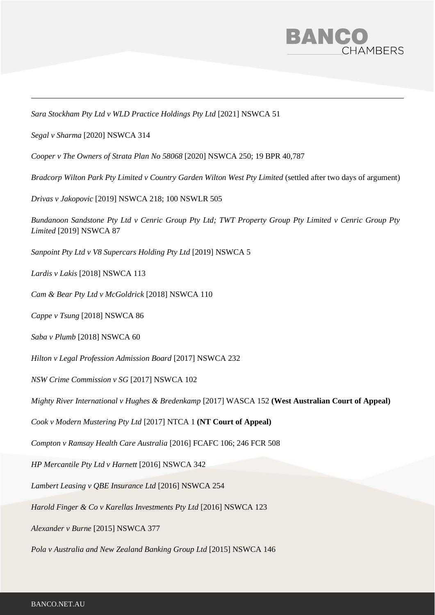

*Sara Stockham Pty Ltd v WLD Practice Holdings Pty Ltd* [2021] NSWCA 51

*Segal v Sharma* [2020] NSWCA 314

*Cooper v The Owners of Strata Plan No 58068* [2020] NSWCA 250; 19 BPR 40,787

*Bradcorp Wilton Park Pty Limited v Country Garden Wilton West Pty Limited* (settled after two days of argument)

*Drivas v Jakopovic* [2019] NSWCA 218; 100 NSWLR 505

*Bundanoon Sandstone Pty Ltd v Cenric Group Pty Ltd; TWT Property Group Pty Limited v Cenric Group Pty Limited* [2019] NSWCA 87

*Sanpoint Pty Ltd v V8 Supercars Holding Pty Ltd* [2019] NSWCA 5

*Lardis v Lakis* [2018] NSWCA 113

*Cam & Bear Pty Ltd v McGoldrick* [2018] NSWCA 110

*Cappe v Tsung* [2018] NSWCA 86

*Saba v Plumb* [2018] NSWCA 60

*Hilton v Legal Profession Admission Board* [2017] NSWCA 232

*NSW Crime Commission v SG* [2017] NSWCA 102

*Mighty River International v Hughes & Bredenkamp* [2017] WASCA 152 **(West Australian Court of Appeal)**

*Cook v Modern Mustering Pty Ltd* [2017] NTCA 1 **(NT Court of Appeal)**

*Compton v Ramsay Health Care Australia* [2016] FCAFC 106; 246 FCR 508

*HP Mercantile Pty Ltd v Harnett* [2016] NSWCA 342

*Lambert Leasing v QBE Insurance Ltd* [2016] NSWCA 254

*Harold Finger & Co v Karellas Investments Pty Ltd* [2016] NSWCA 123

*Alexander v Burne* [2015] NSWCA 377

*Pola v Australia and New Zealand Banking Group Ltd* [2015] NSWCA 146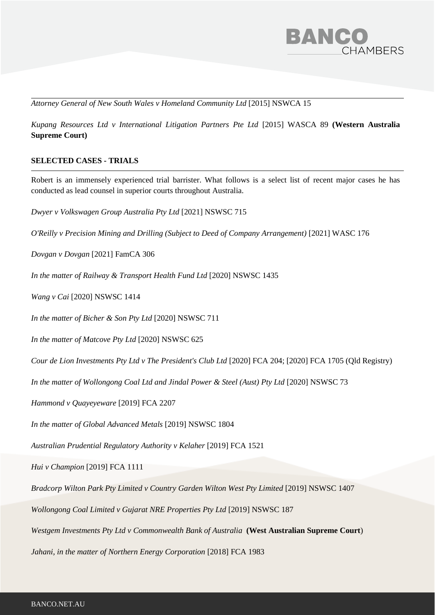

*Attorney General of New South Wales v Homeland Community Ltd* [2015] NSWCA 15

*Kupang Resources Ltd v International Litigation Partners Pte Ltd* [2015] WASCA 89 **(Western Australia Supreme Court)**

## **SELECTED CASES - TRIALS**

Robert is an immensely experienced trial barrister. What follows is a select list of recent major cases he has conducted as lead counsel in superior courts throughout Australia.

*Dwyer v Volkswagen Group Australia Pty Ltd* [2021] NSWSC 715

*O'Reilly v Precision Mining and Drilling (Subject to Deed of Company Arrangement)* [2021] WASC 176

*Dovgan v Dovgan* [2021] FamCA 306

*In the matter of Railway & Transport Health Fund Ltd* [2020] NSWSC 1435

*Wang v Cai* [2020] NSWSC 1414

*In the matter of Bicher & Son Pty Ltd* [2020] NSWSC 711

*In the matter of Matcove Pty Ltd* [2020] NSWSC 625

*Cour de Lion Investments Pty Ltd v The President's Club Ltd* [2020] FCA 204; [2020] FCA 1705 (Qld Registry)

In the matter of Wollongong Coal Ltd and Jindal Power & Steel (Aust) Pty Ltd [2020] NSWSC 73

*Hammond v Quayeyeware* [2019] FCA 2207

*In the matter of Global Advanced Metals* [2019] NSWSC 1804

*Australian Prudential Regulatory Authority v Kelaher* [2019] FCA 1521

*Hui v Champion* [2019] FCA 1111

*Bradcorp Wilton Park Pty Limited v Country Garden Wilton West Pty Limited* [2019] NSWSC 1407

*Wollongong Coal Limited v Gujarat NRE Properties Pty Ltd* [2019] NSWSC 187

*Westgem Investments Pty Ltd v Commonwealth Bank of Australia* **(West Australian Supreme Court**)

*Jahani, in the matter of Northern Energy Corporation* [2018] FCA 1983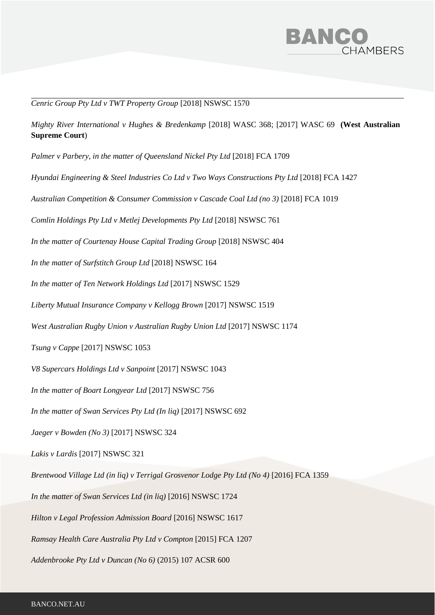

*Cenric Group Pty Ltd v TWT Property Group* [2018] NSWSC 1570

*Mighty River International v Hughes & Bredenkamp* [2018] WASC 368; [2017] WASC 69 **(West Australian Supreme Court**)

*Palmer v Parbery, in the matter of Queensland Nickel Pty Ltd* [2018] FCA 1709

*Hyundai Engineering & Steel Industries Co Ltd v Two Ways Constructions Pty Ltd* [2018] FCA 1427

*Australian Competition & Consumer Commission v Cascade Coal Ltd (no 3)* [2018] FCA 1019

*Comlin Holdings Pty Ltd v Metlej Developments Pty Ltd* [2018] NSWSC 761

In the matter of Courtenay House Capital Trading Group [2018] NSWSC 404

*In the matter of Surfstitch Group Ltd* [2018] NSWSC 164

*In the matter of Ten Network Holdings Ltd* [2017] NSWSC 1529

*Liberty Mutual Insurance Company v Kellogg Brown* [2017] NSWSC 1519

*West Australian Rugby Union v Australian Rugby Union Ltd* [2017] NSWSC 1174

*Tsung v Cappe* [2017] NSWSC 1053

*V8 Supercars Holdings Ltd v Sanpoint* [2017] NSWSC 1043

*In the matter of Boart Longyear Ltd* [2017] NSWSC 756

In the matter of Swan Services Pty Ltd (In liq) [2017] NSWSC 692

*Jaeger v Bowden (No 3)* [2017] NSWSC 324

*Lakis v Lardis* [2017] NSWSC 321

*Brentwood Village Ltd (in liq) v Terrigal Grosvenor Lodge Pty Ltd (No 4)* [2016] FCA 1359

*In the matter of Swan Services Ltd (in liq)* [2016] NSWSC 1724

*Hilton v Legal Profession Admission Board* [2016] NSWSC 1617

*Ramsay Health Care Australia Pty Ltd v Compton* [2015] FCA 1207

*Addenbrooke Pty Ltd v Duncan (No 6)* (2015) 107 ACSR 600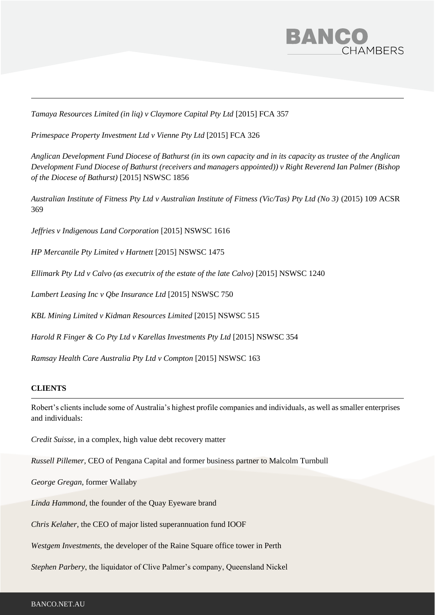

*Tamaya Resources Limited (in liq) v Claymore Capital Pty Ltd* [2015] FCA 357

*Primespace Property Investment Ltd v Vienne Pty Ltd* [2015] FCA 326

*Anglican Development Fund Diocese of Bathurst (in its own capacity and in its capacity as trustee of the Anglican Development Fund Diocese of Bathurst (receivers and managers appointed)) v Right Reverend Ian Palmer (Bishop of the Diocese of Bathurst)* [2015] NSWSC 1856

*Australian Institute of Fitness Pty Ltd v Australian Institute of Fitness (Vic/Tas) Pty Ltd (No 3)* (2015) 109 ACSR 369

*Jeffries v Indigenous Land Corporation* [2015] NSWSC 1616

*HP Mercantile Pty Limited v Hartnett* [2015] NSWSC 1475

*Ellimark Pty Ltd v Calvo (as executrix of the estate of the late Calvo)* [2015] NSWSC 1240

*Lambert Leasing Inc v Qbe Insurance Ltd* [2015] NSWSC 750

*KBL Mining Limited v Kidman Resources Limited* [2015] NSWSC 515

*Harold R Finger & Co Pty Ltd v Karellas Investments Pty Ltd* [2015] NSWSC 354

*Ramsay Health Care Australia Pty Ltd v Compton* [2015] NSWSC 163

## **CLIENTS**

Robert's clients include some of Australia's highest profile companies and individuals, as well as smaller enterprises and individuals:

*Credit Suisse,* in a complex, high value debt recovery matter

*Russell Pillemer,* CEO of Pengana Capital and former business partner to Malcolm Turnbull

*George Gregan,* former Wallaby

*Linda Hammond,* the founder of the Quay Eyeware brand

*Chris Kelaher,* the CEO of major listed superannuation fund IOOF

*Westgem Investments,* the developer of the Raine Square office tower in Perth

*Stephen Parbery*, the liquidator of Clive Palmer's company, Queensland Nickel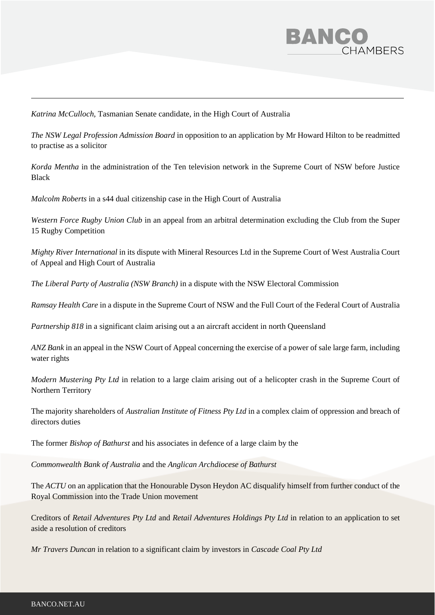

*Katrina McCulloch,* Tasmanian Senate candidate, in the High Court of Australia

*The NSW Legal Profession Admission Board* in opposition to an application by Mr Howard Hilton to be readmitted to practise as a solicitor

*Korda Mentha* in the administration of the Ten television network in the Supreme Court of NSW before Justice Black

*Malcolm Roberts* in a s44 dual citizenship case in the High Court of Australia

*Western Force Rugby Union Club* in an appeal from an arbitral determination excluding the Club from the Super 15 Rugby Competition

*Mighty River International* in its dispute with Mineral Resources Ltd in the Supreme Court of West Australia Court of Appeal and High Court of Australia

*The Liberal Party of Australia (NSW Branch)* in a dispute with the NSW Electoral Commission

*Ramsay Health Care* in a dispute in the Supreme Court of NSW and the Full Court of the Federal Court of Australia

*Partnership 818* in a significant claim arising out a an aircraft accident in north Queensland

*ANZ Bank* in an appeal in the NSW Court of Appeal concerning the exercise of a power of sale large farm, including water rights

*Modern Mustering Pty Ltd* in relation to a large claim arising out of a helicopter crash in the Supreme Court of Northern Territory

The majority shareholders of *Australian Institute of Fitness Pty Ltd* in a complex claim of oppression and breach of directors duties

The former *Bishop of Bathurst* and his associates in defence of a large claim by the

*Commonwealth Bank of Australia* and the *Anglican Archdiocese of Bathurst*

The *ACTU* on an application that the Honourable Dyson Heydon AC disqualify himself from further conduct of the Royal Commission into the Trade Union movement

Creditors of *Retail Adventures Pty Ltd* and *Retail Adventures Holdings Pty Ltd* in relation to an application to set aside a resolution of creditors

*Mr Travers Duncan* in relation to a significant claim by investors in *Cascade Coal Pty Ltd*